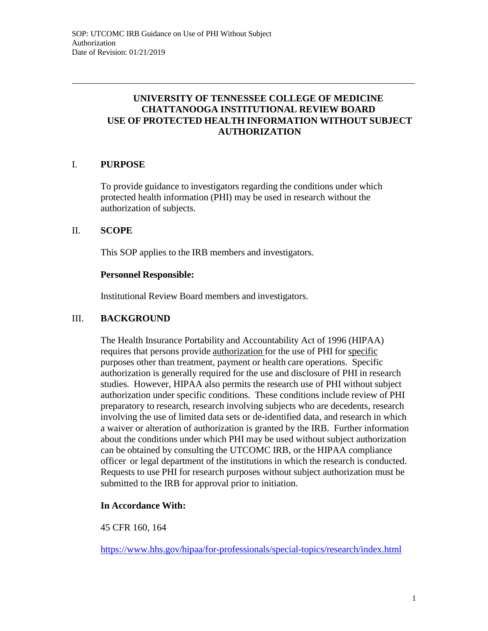# **UNIVERSITY OF TENNESSEE COLLEGE OF MEDICINE CHATTANOOGA INSTITUTIONAL REVIEW BOARD USE OF PROTECTED HEALTH INFORMATION WITHOUT SUBJECT AUTHORIZATION**

# I. **PURPOSE**

To provide guidance to investigators regarding the conditions under which protected health information (PHI) may be used in research without the authorization of subjects.

### II. **SCOPE**

This SOP applies to the IRB members and investigators.

#### **Personnel Responsible:**

Institutional Review Board members and investigators.

### III. **BACKGROUND**

The Health Insurance Portability and Accountability Act of 1996 (HIPAA) requires that persons provide authorization for the use of PHI for specific purposes other than treatment, payment or health care operations. Specific authorization is generally required for the use and disclosure of PHI in research studies. However, HIPAA also permits the research use of PHI without subject authorization under specific conditions. These conditions include review of PHI preparatory to research, research involving subjects who are decedents, research involving the use of limited data sets or de-identified data, and research in which a waiver or alteration of authorization is granted by the IRB. Further information about the conditions under which PHI may be used without subject authorization can be obtained by consulting the UTCOMC IRB, or the HIPAA compliance officer or legal department of the institutions in which the research is conducted. Requests to use PHI for research purposes without subject authorization must be submitted to the IRB for approval prior to initiation.

### **In Accordance With:**

45 CFR 160, 164

https:/[/www.hhs.gov/hipaa/for-professionals/special-topics/research/index.html](http://www.hhs.gov/hipaa/for-professionals/special-topics/research/index.html)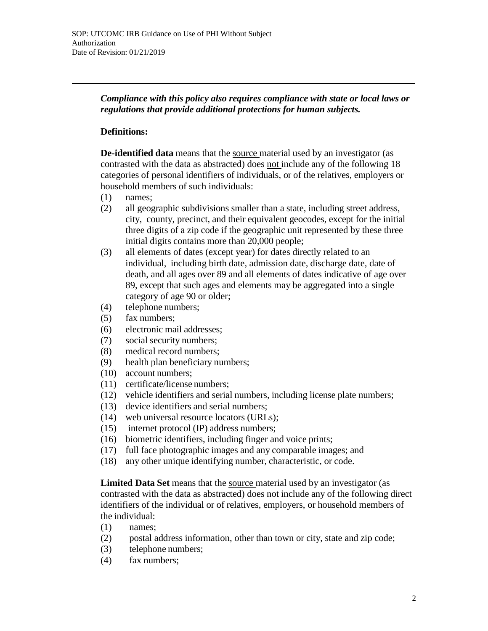*Compliance with this policy also requires compliance with state or local laws or regulations that provide additional protections for human subjects.*

### **Definitions:**

**De-identified data** means that the source material used by an investigator (as contrasted with the data as abstracted) does not include any of the following 18 categories of personal identifiers of individuals, or of the relatives, employers or household members of such individuals:

- (1) names;
- (2) all geographic subdivisions smaller than a state, including street address, city, county, precinct, and their equivalent geocodes, except for the initial three digits of a zip code if the geographic unit represented by these three initial digits contains more than 20,000 people;
- (3) all elements of dates (except year) for dates directly related to an individual, including birth date, admission date, discharge date, date of death, and all ages over 89 and all elements of dates indicative of age over 89, except that such ages and elements may be aggregated into a single category of age 90 or older;
- (4) telephone numbers;
- (5) fax numbers;
- (6) electronic mail addresses;
- (7) social security numbers;
- (8) medical record numbers;
- (9) health plan beneficiary numbers;
- (10) account numbers;
- (11) certificate/license numbers;
- (12) vehicle identifiers and serial numbers, including license plate numbers;
- (13) device identifiers and serial numbers;
- (14) web universal resource locators (URLs);
- (15) internet protocol (IP) address numbers;
- (16) biometric identifiers, including finger and voice prints;
- (17) full face photographic images and any comparable images; and
- (18) any other unique identifying number, characteristic, or code.

**Limited Data Set** means that the source material used by an investigator (as contrasted with the data as abstracted) does not include any of the following direct identifiers of the individual or of relatives, employers, or household members of the individual:

- (1) names;
- (2) postal address information, other than town or city, state and zip code;
- (3) telephone numbers;
- (4) fax numbers;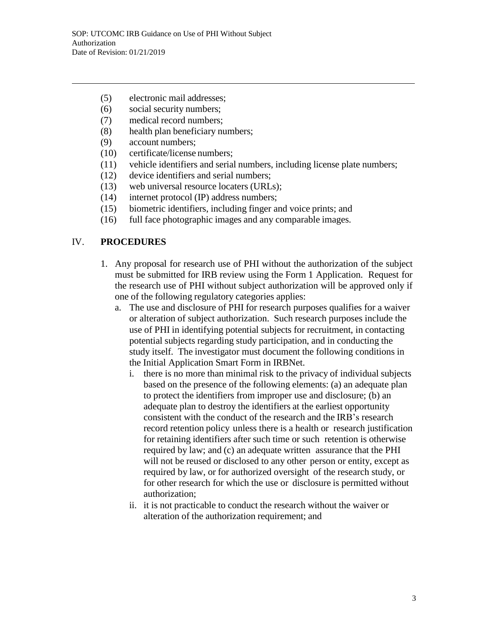- (5) electronic mail addresses;
- (6) social security numbers;
- (7) medical record numbers;
- (8) health plan beneficiary numbers;
- (9) account numbers;
- (10) certificate/license numbers;
- (11) vehicle identifiers and serial numbers, including license plate numbers;
- (12) device identifiers and serial numbers;
- (13) web universal resource locaters (URLs);
- (14) internet protocol (IP) address numbers;
- (15) biometric identifiers, including finger and voice prints; and
- (16) full face photographic images and any comparable images.

### IV. **PROCEDURES**

- 1. Any proposal for research use of PHI without the authorization of the subject must be submitted for IRB review using the Form 1 Application. Request for the research use of PHI without subject authorization will be approved only if one of the following regulatory categories applies:
	- a. The use and disclosure of PHI for research purposes qualifies for a waiver or alteration of subject authorization. Such research purposes include the use of PHI in identifying potential subjects for recruitment, in contacting potential subjects regarding study participation, and in conducting the study itself. The investigator must document the following conditions in the Initial Application Smart Form in IRBNet.
		- i. there is no more than minimal risk to the privacy of individual subjects based on the presence of the following elements: (a) an adequate plan to protect the identifiers from improper use and disclosure; (b) an adequate plan to destroy the identifiers at the earliest opportunity consistent with the conduct of the research and the IRB's research record retention policy unless there is a health or research justification for retaining identifiers after such time or such retention is otherwise required by law; and (c) an adequate written assurance that the PHI will not be reused or disclosed to any other person or entity, except as required by law, or for authorized oversight of the research study, or for other research for which the use or disclosure is permitted without authorization;
		- ii. it is not practicable to conduct the research without the waiver or alteration of the authorization requirement; and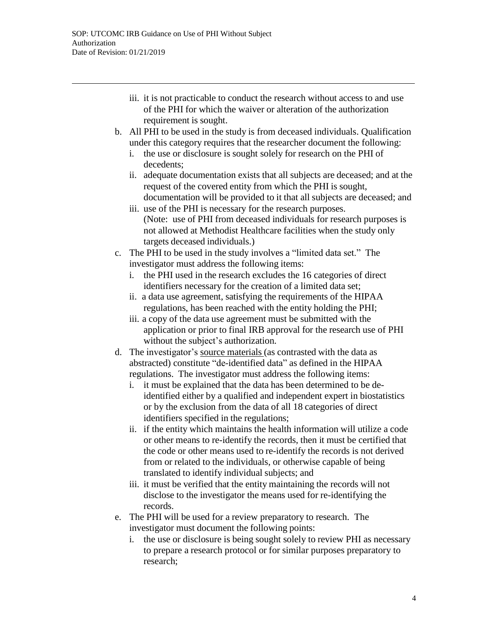- iii. it is not practicable to conduct the research without access to and use of the PHI for which the waiver or alteration of the authorization requirement is sought.
- b. All PHI to be used in the study is from deceased individuals. Qualification under this category requires that the researcher document the following:
	- i. the use or disclosure is sought solely for research on the PHI of decedents;
	- ii. adequate documentation exists that all subjects are deceased; and at the request of the covered entity from which the PHI is sought, documentation will be provided to it that all subjects are deceased; and
	- iii. use of the PHI is necessary for the research purposes. (Note: use of PHI from deceased individuals for research purposes is not allowed at Methodist Healthcare facilities when the study only targets deceased individuals.)
- c. The PHI to be used in the study involves a "limited data set." The investigator must address the following items:
	- i. the PHI used in the research excludes the 16 categories of direct identifiers necessary for the creation of a limited data set;
	- ii. a data use agreement, satisfying the requirements of the HIPAA regulations, has been reached with the entity holding the PHI;
	- iii. a copy of the data use agreement must be submitted with the application or prior to final IRB approval for the research use of PHI without the subject's authorization.
- d. The investigator's source materials (as contrasted with the data as abstracted) constitute "de-identified data" as defined in the HIPAA regulations. The investigator must address the following items:
	- i. it must be explained that the data has been determined to be deidentified either by a qualified and independent expert in biostatistics or by the exclusion from the data of all 18 categories of direct identifiers specified in the regulations;
	- ii. if the entity which maintains the health information will utilize a code or other means to re-identify the records, then it must be certified that the code or other means used to re-identify the records is not derived from or related to the individuals, or otherwise capable of being translated to identify individual subjects; and
	- iii. it must be verified that the entity maintaining the records will not disclose to the investigator the means used for re-identifying the records.
- e. The PHI will be used for a review preparatory to research. The investigator must document the following points:
	- i. the use or disclosure is being sought solely to review PHI as necessary to prepare a research protocol or for similar purposes preparatory to research;